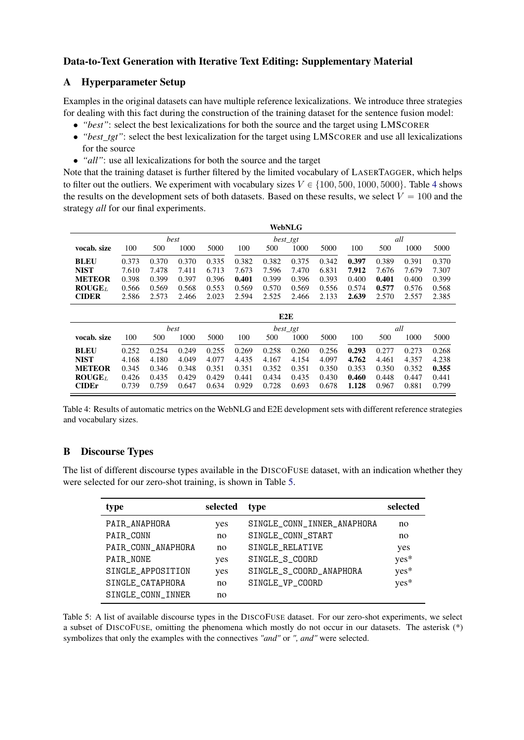## Data-to-Text Generation with Iterative Text Editing: Supplementary Material

## A Hyperparameter Setup

Examples in the original datasets can have multiple reference lexicalizations. We introduce three strategies for dealing with this fact during the construction of the training dataset for the sentence fusion model:

- *"best"*: select the best lexicalizations for both the source and the target using LMSCORER
- *"best\_tgt"*: select the best lexicalization for the target using LMSCORER and use all lexicalizations for the source
- *"all"*: use all lexicalizations for both the source and the target

Note that the training dataset is further filtered by the limited vocabulary of LASERTAGGER, which helps to filter out the outliers. We experiment with vocabulary sizes  $V \in \{100, 500, 1000, 5000\}$ . Table [4](#page-0-0) shows the results on the development sets of both datasets. Based on these results, we select  $V = 100$  and the strategy *all* for our final experiments.

<span id="page-0-0"></span>

|               |       |       |       |          |       |       | <b>WebNLG</b> |       |       |       |       |       |
|---------------|-------|-------|-------|----------|-------|-------|---------------|-------|-------|-------|-------|-------|
|               | best  |       |       | best_tgt |       |       |               | all   |       |       |       |       |
| vocab. size   | 100   | 500   | 1000  | 5000     | 100   | 500   | 1000          | 5000  | 100   | 500   | 1000  | 5000  |
| <b>BLEU</b>   | 0.373 | 0.370 | 0.370 | 0.335    | 0.382 | 0.382 | 0.375         | 0.342 | 0.397 | 0.389 | 0.391 | 0.370 |
| <b>NIST</b>   | 7.610 | 7.478 | 7.411 | 6.713    | 7.673 | 7.596 | 7.470         | 6.831 | 7.912 | 7.676 | 7.679 | 7.307 |
| <b>METEOR</b> | 0.398 | 0.399 | 0.397 | 0.396    | 0.401 | 0.399 | 0.396         | 0.393 | 0.400 | 0.401 | 0.400 | 0.399 |
| $ROUGE_L$     | 0.566 | 0.569 | 0.568 | 0.553    | 0.569 | 0.570 | 0.569         | 0.556 | 0.574 | 0.577 | 0.576 | 0.568 |
| <b>CIDER</b>  | 2.586 | 2.573 | 2.466 | 2.023    | 2.594 | 2.525 | 2.466         | 2.133 | 2.639 | 2.570 | 2.557 | 2.385 |
|               |       |       |       |          |       |       | E2E           |       |       |       |       |       |
|               | best  |       |       | best_tgt |       |       |               | all   |       |       |       |       |
| vocab. size   | 100   | 500   | 1000  | 5000     | 100   | 500   | 1000          | 5000  | 100   | 500   | 1000  | 5000  |
| <b>BLEU</b>   | 0.252 | 0.254 | 0.249 | 0.255    | 0.269 | 0.258 | 0.260         | 0.256 | 0.293 | 0.277 | 0.273 | 0.268 |
| <b>NIST</b>   | 4.168 | 4.180 | 4.049 | 4.077    | 4.435 | 4.167 | 4.154         | 4.097 | 4.762 | 4.461 | 4.357 | 4.238 |
| <b>METEOR</b> | 0.345 | 0.346 | 0.348 | 0.351    | 0.351 | 0.352 | 0.351         | 0.350 | 0.353 | 0.350 | 0.352 | 0.355 |
| $ROUGE_L$     | 0.426 | 0.435 | 0.429 | 0.429    | 0.441 | 0.434 | 0.435         | 0.430 | 0.460 | 0.448 | 0.447 | 0.441 |
| <b>CIDEr</b>  | 0.739 | 0.759 | 0.647 | 0.634    | 0.929 | 0.728 | 0.693         | 0.678 | 1.128 | 0.967 | 0.881 | 0.799 |

Table 4: Results of automatic metrics on the WebNLG and E2E development sets with different reference strategies and vocabulary sizes.

## B Discourse Types

<span id="page-0-1"></span>The list of different discourse types available in the DISCOFUSE dataset, with an indication whether they were selected for our zero-shot training, is shown in Table [5.](#page-0-1)

| type               | selected | type                       | selected |
|--------------------|----------|----------------------------|----------|
| PAIR_ANAPHORA      | yes      | SINGLE_CONN_INNER_ANAPHORA | no       |
| PAIR_CONN          | no       | SINGLE CONN START          | no       |
| PAIR_CONN_ANAPHORA | no       | SINGLE_RELATIVE            | yes      |
| PAIR_NONE          | yes      | SINGLE_S_COORD             | yes*     |
| SINGLE_APPOSITION  | yes      | SINGLE_S_COORD_ANAPHORA    | yes*     |
| SINGLE_CATAPHORA   | no       | SINGLE_VP_COORD            | yes*     |
| SINGLE CONN INNER  | no       |                            |          |

Table 5: A list of available discourse types in the DISCOFUSE dataset. For our zero-shot experiments, we select a subset of DISCOFUSE, omitting the phenomena which mostly do not occur in our datasets. The asterisk (\*) symbolizes that only the examples with the connectives *"and"* or *", and"* were selected.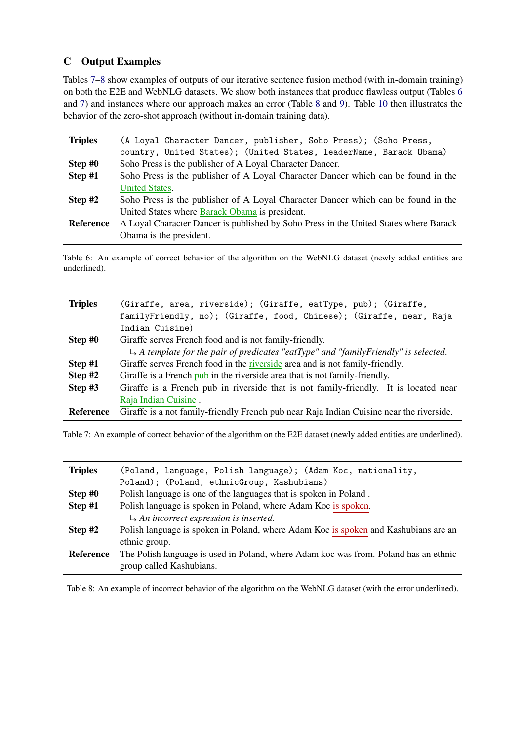## C Output Examples

Tables [7](#page-1-0)[–8](#page-1-1) show examples of outputs of our iterative sentence fusion method (with in-domain training) on both the E2E and WebNLG datasets. We show both instances that produce flawless output (Tables [6](#page-1-2) and [7\)](#page-1-0) and instances where our approach makes an error (Table [8](#page-1-1) and [9\)](#page-2-0). Table [10](#page-2-1) then illustrates the behavior of the zero-shot approach (without in-domain training data).

<span id="page-1-2"></span>

| <b>Triples</b> | (A Loyal Character Dancer, publisher, Soho Press); (Soho Press,                       |
|----------------|---------------------------------------------------------------------------------------|
|                | country, United States); (United States, leaderName, Barack Obama)                    |
| Step #0        | Soho Press is the publisher of A Loyal Character Dancer.                              |
| Step #1        | Soho Press is the publisher of A Loyal Character Dancer which can be found in the     |
|                | <b>United States.</b>                                                                 |
| Step #2        | Soho Press is the publisher of A Loyal Character Dancer which can be found in the     |
|                | United States where Barack Obama is president.                                        |
| Reference      | A Loyal Character Dancer is published by Soho Press in the United States where Barack |
|                | Obama is the president.                                                               |

Table 6: An example of correct behavior of the algorithm on the WebNLG dataset (newly added entities are underlined).

<span id="page-1-0"></span>

| <b>Triples</b>   | (Giraffe, area, riverside); (Giraffe, eatType, pub); (Giraffe,                                   |
|------------------|--------------------------------------------------------------------------------------------------|
|                  | familyFriendly, no); (Giraffe, food, Chinese); (Giraffe, near, Raja                              |
|                  | Indian Cuisine)                                                                                  |
| Step #0          | Giraffe serves French food and is not family-friendly.                                           |
|                  | $\rightarrow$ A template for the pair of predicates "eatType" and "family Friendly" is selected. |
| Step #1          | Giraffe serves French food in the riverside area and is not family-friendly.                     |
| Step $#2$        | Giraffe is a French pub in the riverside area that is not family-friendly.                       |
| Step #3          | Giraffe is a French pub in riverside that is not family-friendly. It is located near             |
|                  | Raja Indian Cuisine.                                                                             |
| <b>Reference</b> | Giraffe is a not family-friendly French pub near Raja Indian Cuisine near the riverside.         |

Table 7: An example of correct behavior of the algorithm on the E2E dataset (newly added entities are underlined).

<span id="page-1-1"></span>

| <b>Triples</b> | (Poland, language, Polish language); (Adam Koc, nationality,                         |
|----------------|--------------------------------------------------------------------------------------|
|                | Poland); (Poland, ethnicGroup, Kashubians)                                           |
| Step #0        | Polish language is one of the languages that is spoken in Poland.                    |
| Step #1        | Polish language is spoken in Poland, where Adam Koc is spoken.                       |
|                | $\rightarrow$ An incorrect expression is inserted.                                   |
| Step $#2$      | Polish language is spoken in Poland, where Adam Koc is spoken and Kashubians are an  |
|                | ethnic group.                                                                        |
| Reference      | The Polish language is used in Poland, where Adam koc was from. Poland has an ethnic |
|                | group called Kashubians.                                                             |

Table 8: An example of incorrect behavior of the algorithm on the WebNLG dataset (with the error underlined).